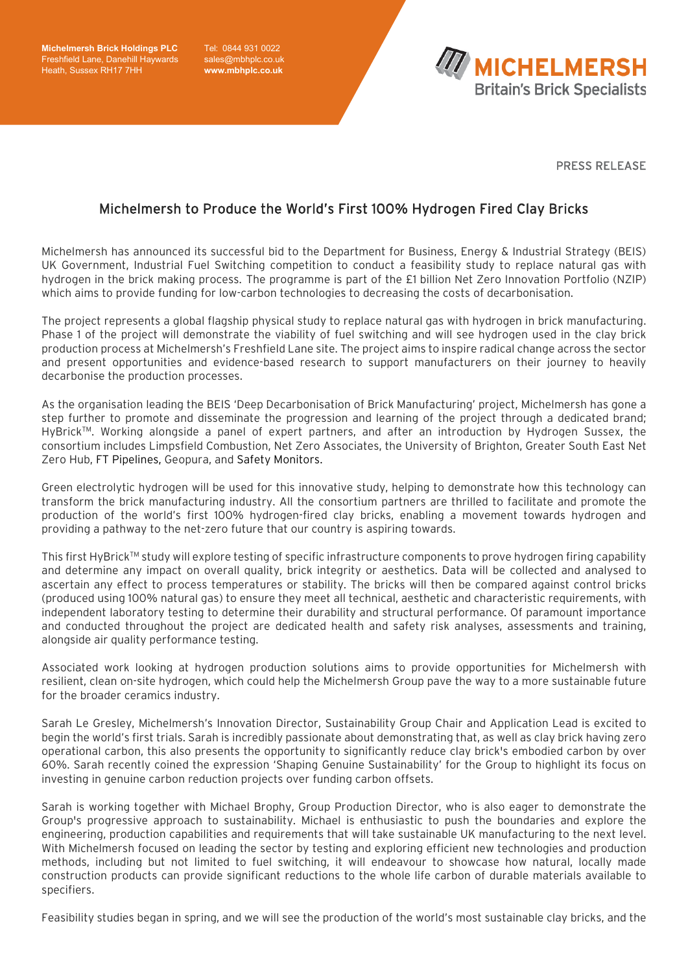**Michelmersh Brick Holdings PLC**  Freshfield Lane, Danehill Haywards Heath, Sussex RH17 7HH

Tel: 0844 931 0022 sales@mbhplc.co.uk **[www.mbhplc.co.uk](http://www.mbhplc.co.uk/)**



PRESS RELEASE

## Michelmersh to Produce the World's First 100% Hydrogen Fired Clay Bricks

Michelmersh has announced its successful bid to the Department for Business, Energy & Industrial Strategy (BEIS) UK Government, Industrial Fuel Switching competition to conduct a feasibility study to replace natural gas with hydrogen in the brick making process. The programme is part of the £1 billion Net Zero Innovation Portfolio (NZIP) which aims to provide funding for low-carbon technologies to decreasing the costs of decarbonisation.

The project represents a global flagship physical study to replace natural gas with hydrogen in brick manufacturing. Phase 1 of the project will demonstrate the viability of fuel switching and will see hydrogen used in the clay brick production process at Michelmersh's Freshfield Lane site. The project aims to inspire radical change across the sector and present opportunities and evidence-based research to support manufacturers on their journey to heavily decarbonise the production processes.

As the organisation leading the BEIS 'Deep Decarbonisation of Brick Manufacturing' project, Michelmersh has gone a step further to promote and disseminate the progression and learning of the project through a dedicated brand; HyBrick™. Working alongside a panel of expert partners, and after an introduction by Hydrogen Sussex, the consortium includes Limpsfield Combustion, Net Zero Associates, the University of Brighton, Greater South East Net Zero Hub, FT Pipelines, Geopura, and Safety Monitors.

Green electrolytic hydrogen will be used for this innovative study, helping to demonstrate how this technology can transform the brick manufacturing industry. All the consortium partners are thrilled to facilitate and promote the production of the world's first 100% hydrogen-fired clay bricks, enabling a movement towards hydrogen and providing a pathway to the net-zero future that our country is aspiring towards.

This first HyBrick<sup>TM</sup> study will explore testing of specific infrastructure components to prove hydrogen firing capability and determine any impact on overall quality, brick integrity or aesthetics. Data will be collected and analysed to ascertain any effect to process temperatures or stability. The bricks will then be compared against control bricks (produced using 100% natural gas) to ensure they meet all technical, aesthetic and characteristic requirements, with independent laboratory testing to determine their durability and structural performance. Of paramount importance and conducted throughout the project are dedicated health and safety risk analyses, assessments and training, alongside air quality performance testing.

Associated work looking at hydrogen production solutions aims to provide opportunities for Michelmersh with resilient, clean on-site hydrogen, which could help the Michelmersh Group pave the way to a more sustainable future for the broader ceramics industry.

Sarah Le Gresley, Michelmersh's Innovation Director, Sustainability Group Chair and Application Lead is excited to begin the world's first trials. Sarah is incredibly passionate about demonstrating that, as well as clay brick having zero operational carbon, this also presents the opportunity to significantly reduce clay brick's embodied carbon by over 60%. Sarah recently coined the expression 'Shaping Genuine Sustainability' for the Group to highlight its focus on investing in genuine carbon reduction projects over funding carbon offsets.

Sarah is working together with Michael Brophy, Group Production Director, who is also eager to demonstrate the Group's progressive approach to sustainability. Michael is enthusiastic to push the boundaries and explore the engineering, production capabilities and requirements that will take sustainable UK manufacturing to the next level. With Michelmersh focused on leading the sector by testing and exploring efficient new technologies and production methods, including but not limited to fuel switching, it will endeavour to showcase how natural, locally made construction products can provide significant reductions to the whole life carbon of durable materials available to specifiers.

Feasibility studies began in spring, and we will see the production of the world's most sustainable clay bricks, and the